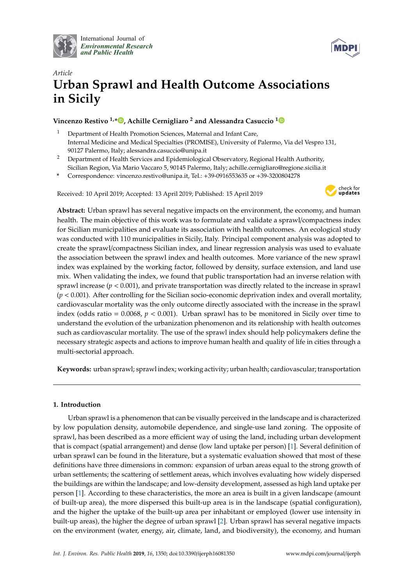

International Journal of *[Environmental Research](http://www.mdpi.com/journal/ijerph) and Public Health*



# *Article* **Urban Sprawl and Health Outcome Associations in Sicily**

## **Vincenzo Restivo 1,[\\*](https://orcid.org/0000-0002-5406-884X) , Achille Cernigliaro <sup>2</sup> and Alessandra Casuccio [1](https://orcid.org/0000-0002-5676-9535)**

- <sup>1</sup> Department of Health Promotion Sciences, Maternal and Infant Care, Internal Medicine and Medical Specialties (PROMISE), University of Palermo, Via del Vespro 131, 90127 Palermo, Italy; alessandra.casuccio@unipa.it
- <sup>2</sup> Department of Health Services and Epidemiological Observatory, Regional Health Authority, Sicilian Region, Via Mario Vaccaro 5, 90145 Palermo, Italy; achille.cernigliaro@regione.sicilia.it
- **\*** Correspondence: vincenzo.restivo@unipa.it, Tel.: +39-0916553635 or +39-3200804278

Received: 10 April 2019; Accepted: 13 April 2019; Published: 15 April 2019



**Abstract:** Urban sprawl has several negative impacts on the environment, the economy, and human health. The main objective of this work was to formulate and validate a sprawl/compactness index for Sicilian municipalities and evaluate its association with health outcomes. An ecological study was conducted with 110 municipalities in Sicily, Italy. Principal component analysis was adopted to create the sprawl/compactness Sicilian index, and linear regression analysis was used to evaluate the association between the sprawl index and health outcomes. More variance of the new sprawl index was explained by the working factor, followed by density, surface extension, and land use mix. When validating the index, we found that public transportation had an inverse relation with sprawl increase ( $p < 0.001$ ), and private transportation was directly related to the increase in sprawl (*p* < 0.001). After controlling for the Sicilian socio-economic deprivation index and overall mortality, cardiovascular mortality was the only outcome directly associated with the increase in the sprawl index (odds ratio =  $0.0068$ ,  $p < 0.001$ ). Urban sprawl has to be monitored in Sicily over time to understand the evolution of the urbanization phenomenon and its relationship with health outcomes such as cardiovascular mortality. The use of the sprawl index should help policymakers define the necessary strategic aspects and actions to improve human health and quality of life in cities through a multi-sectorial approach.

**Keywords:** urban sprawl; sprawl index; working activity; urban health; cardiovascular; transportation

## **1. Introduction**

Urban sprawl is a phenomenon that can be visually perceived in the landscape and is characterized by low population density, automobile dependence, and single-use land zoning. The opposite of sprawl, has been described as a more efficient way of using the land, including urban development that is compact (spatial arrangement) and dense (low land uptake per person) [\[1\]](#page-7-0). Several definition of urban sprawl can be found in the literature, but a systematic evaluation showed that most of these definitions have three dimensions in common: expansion of urban areas equal to the strong growth of urban settlements; the scattering of settlement areas, which involves evaluating how widely dispersed the buildings are within the landscape; and low-density development, assessed as high land uptake per person [\[1\]](#page-7-0). According to these characteristics, the more an area is built in a given landscape (amount of built-up area), the more dispersed this built-up area is in the landscape (spatial configuration), and the higher the uptake of the built-up area per inhabitant or employed (lower use intensity in built-up areas), the higher the degree of urban sprawl [\[2\]](#page-7-1). Urban sprawl has several negative impacts on the environment (water, energy, air, climate, land, and biodiversity), the economy, and human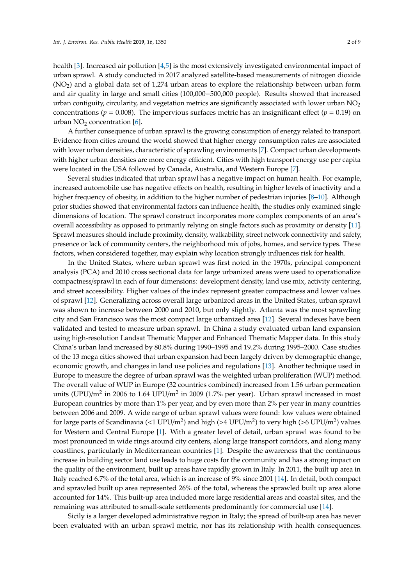health [\[3\]](#page-7-2). Increased air pollution [\[4,](#page-7-3)[5\]](#page-7-4) is the most extensively investigated environmental impact of urban sprawl. A study conducted in 2017 analyzed satellite-based measurements of nitrogen dioxide (NO2) and a global data set of 1,274 urban areas to explore the relationship between urban form and air quality in large and small cities (100,000−500,000 people). Results showed that increased urban contiguity, circularity, and vegetation metrics are significantly associated with lower urban  $NO<sub>2</sub>$ concentrations ( $p = 0.008$ ). The impervious surfaces metric has an insignificant effect ( $p = 0.19$ ) on urban  $NO<sub>2</sub>$  concentration [\[6\]](#page-7-5).

A further consequence of urban sprawl is the growing consumption of energy related to transport. Evidence from cities around the world showed that higher energy consumption rates are associated with lower urban densities, characteristic of sprawling environments [\[7\]](#page-7-6). Compact urban developments with higher urban densities are more energy efficient. Cities with high transport energy use per capita were located in the USA followed by Canada, Australia, and Western Europe [\[7\]](#page-7-6).

Several studies indicated that urban sprawl has a negative impact on human health. For example, increased automobile use has negative effects on health, resulting in higher levels of inactivity and a higher frequency of obesity, in addition to the higher number of pedestrian injuries [\[8](#page-7-7)[–10\]](#page-7-8). Although prior studies showed that environmental factors can influence health, the studies only examined single dimensions of location. The sprawl construct incorporates more complex components of an area's overall accessibility as opposed to primarily relying on single factors such as proximity or density [\[11\]](#page-7-9). Sprawl measures should include proximity, density, walkability, street network connectivity and safety, presence or lack of community centers, the neighborhood mix of jobs, homes, and service types. These factors, when considered together, may explain why location strongly influences risk for health.

In the United States, where urban sprawl was first noted in the 1970s, principal component analysis (PCA) and 2010 cross sectional data for large urbanized areas were used to operationalize compactness/sprawl in each of four dimensions: development density, land use mix, activity centering, and street accessibility. Higher values of the index represent greater compactness and lower values of sprawl [\[12\]](#page-7-10). Generalizing across overall large urbanized areas in the United States, urban sprawl was shown to increase between 2000 and 2010, but only slightly. Atlanta was the most sprawling city and San Francisco was the most compact large urbanized area [\[12\]](#page-7-10). Several indexes have been validated and tested to measure urban sprawl. In China a study evaluated urban land expansion using high-resolution Landsat Thematic Mapper and Enhanced Thematic Mapper data. In this study China's urban land increased by 80.8% during 1990–1995 and 19.2% during 1995–2000. Case studies of the 13 mega cities showed that urban expansion had been largely driven by demographic change, economic growth, and changes in land use policies and regulations [\[13\]](#page-7-11). Another technique used in Europe to measure the degree of urban sprawl was the weighted urban proliferation (WUP) method. The overall value of WUP in Europe (32 countries combined) increased from 1.56 urban permeation units (UPU)/m<sup>2</sup> in 2006 to 1.64 UPU/m<sup>2</sup> in 2009 (1.7% per year). Urban sprawl increased in most European countries by more than 1% per year, and by even more than 2% per year in many countries between 2006 and 2009. A wide range of urban sprawl values were found: low values were obtained for large parts of Scandinavia (<1 UPU/m<sup>2</sup>) and high (>4 UPU/m<sup>2</sup>) to very high (>6 UPU/m<sup>2</sup>) values for Western and Central Europe [\[1\]](#page-7-0). With a greater level of detail, urban sprawl was found to be most pronounced in wide rings around city centers, along large transport corridors, and along many coastlines, particularly in Mediterranean countries [\[1\]](#page-7-0). Despite the awareness that the continuous increase in building sector land use leads to huge costs for the community and has a strong impact on the quality of the environment, built up areas have rapidly grown in Italy. In 2011, the built up area in Italy reached 6.7% of the total area, which is an increase of 9% since 2001 [\[14\]](#page-7-12). In detail, both compact and sprawled built up area represented 26% of the total, whereas the sprawled built up area alone accounted for 14%. This built-up area included more large residential areas and coastal sites, and the remaining was attributed to small-scale settlements predominantly for commercial use [\[14\]](#page-7-12).

Sicily is a larger developed administrative region in Italy; the spread of built-up area has never been evaluated with an urban sprawl metric, nor has its relationship with health consequences.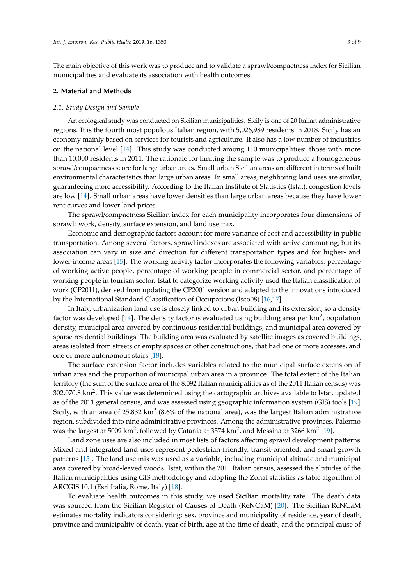The main objective of this work was to produce and to validate a sprawl/compactness index for Sicilian municipalities and evaluate its association with health outcomes.

#### **2. Material and Methods**

#### *2.1. Study Design and Sample*

An ecological study was conducted on Sicilian municipalities. Sicily is one of 20 Italian administrative regions. It is the fourth most populous Italian region, with 5,026,989 residents in 2018. Sicily has an economy mainly based on services for tourists and agriculture. It also has a low number of industries on the national level [\[14\]](#page-7-12). This study was conducted among 110 municipalities: those with more than 10,000 residents in 2011. The rationale for limiting the sample was to produce a homogeneous sprawl/compactness score for large urban areas. Small urban Sicilian areas are different in terms of built environmental characteristics than large urban areas. In small areas, neighboring land uses are similar, guaranteeing more accessibility. According to the Italian Institute of Statistics (Istat), congestion levels are low [\[14\]](#page-7-12). Small urban areas have lower densities than large urban areas because they have lower rent curves and lower land prices.

The sprawl/compactness Sicilian index for each municipality incorporates four dimensions of sprawl: work, density, surface extension, and land use mix.

Economic and demographic factors account for more variance of cost and accessibility in public transportation. Among several factors, sprawl indexes are associated with active commuting, but its association can vary in size and direction for different transportation types and for higher- and lower-income areas [\[15\]](#page-7-13). The working activity factor incorporates the following variables: percentage of working active people, percentage of working people in commercial sector, and percentage of working people in tourism sector. Istat to categorize working activity used the Italian classification of work (CP2011), derived from updating the CP2001 version and adapted to the innovations introduced by the International Standard Classification of Occupations (Isco08) [\[16,](#page-7-14)[17\]](#page-7-15).

In Italy, urbanization land use is closely linked to urban building and its extension, so a density factor was developed [\[14\]](#page-7-12). The density factor is evaluated using building area per km<sup>2</sup>, population density, municipal area covered by continuous residential buildings, and municipal area covered by sparse residential buildings. The building area was evaluated by satellite images as covered buildings, areas isolated from streets or empty spaces or other constructions, that had one or more accesses, and one or more autonomous stairs [\[18\]](#page-8-0).

The surface extension factor includes variables related to the municipal surface extension of urban area and the proportion of municipal urban area in a province. The total extent of the Italian territory (the sum of the surface area of the 8,092 Italian municipalities as of the 2011 Italian census) was 302,070.8 km<sup>2</sup>. This value was determined using the cartographic archives available to Istat, updated as of the 2011 general census, and was assessed using geographic information system (GIS) tools [\[19\]](#page-8-1). Sicily, with an area of 25,832 km<sup>2</sup> (8.6% of the national area), was the largest Italian administrative region, subdivided into nine administrative provinces. Among the administrative provinces, Palermo was the largest at 5009 km<sup>2</sup>, followed by Catania at 3574 km<sup>2</sup>, and Messina at 3266 km<sup>2</sup> [\[19\]](#page-8-1).

Land zone uses are also included in most lists of factors affecting sprawl development patterns. Mixed and integrated land uses represent pedestrian-friendly, transit-oriented, and smart growth patterns [\[15\]](#page-7-13). The land use mix was used as a variable, including municipal altitude and municipal area covered by broad-leaved woods. Istat, within the 2011 Italian census, assessed the altitudes of the Italian municipalities using GIS methodology and adopting the Zonal statistics as table algorithm of ARCGIS 10.1 (Esri Italia, Rome, Italy) [\[18\]](#page-8-0).

To evaluate health outcomes in this study, we used Sicilian mortality rate. The death data was sourced from the Sicilian Register of Causes of Death (ReNCaM) [\[20\]](#page-8-2). The Sicilian ReNCaM estimates mortality indicators considering: sex, province and municipality of residence, year of death, province and municipality of death, year of birth, age at the time of death, and the principal cause of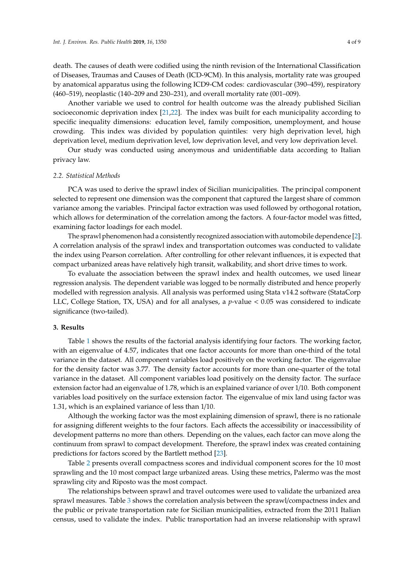death. The causes of death were codified using the ninth revision of the International Classification of Diseases, Traumas and Causes of Death (ICD-9CM). In this analysis, mortality rate was grouped by anatomical apparatus using the following ICD9-CM codes: cardiovascular (390–459), respiratory (460–519), neoplastic (140–209 and 230–231), and overall mortality rate (001–009).

Another variable we used to control for health outcome was the already published Sicilian socioeconomic deprivation index [\[21](#page-8-3)[,22\]](#page-8-4). The index was built for each municipality according to specific inequality dimensions: education level, family composition, unemployment, and house crowding. This index was divided by population quintiles: very high deprivation level, high deprivation level, medium deprivation level, low deprivation level, and very low deprivation level.

Our study was conducted using anonymous and unidentifiable data according to Italian privacy law.

#### *2.2. Statistical Methods*

PCA was used to derive the sprawl index of Sicilian municipalities. The principal component selected to represent one dimension was the component that captured the largest share of common variance among the variables. Principal factor extraction was used followed by orthogonal rotation, which allows for determination of the correlation among the factors. A four-factor model was fitted, examining factor loadings for each model.

The sprawl phenomenon had a consistently recognized association with automobile dependence [\[2\]](#page-7-1). A correlation analysis of the sprawl index and transportation outcomes was conducted to validate the index using Pearson correlation. After controlling for other relevant influences, it is expected that compact urbanized areas have relatively high transit, walkability, and short drive times to work.

To evaluate the association between the sprawl index and health outcomes, we used linear regression analysis. The dependent variable was logged to be normally distributed and hence properly modelled with regression analysis. All analysis was performed using Stata v14.2 software (StataCorp LLC, College Station, TX, USA) and for all analyses, a *p*-value < 0.05 was considered to indicate significance (two-tailed).

#### **3. Results**

Table [1](#page-4-0) shows the results of the factorial analysis identifying four factors. The working factor, with an eigenvalue of 4.57, indicates that one factor accounts for more than one-third of the total variance in the dataset. All component variables load positively on the working factor. The eigenvalue for the density factor was 3.77. The density factor accounts for more than one-quarter of the total variance in the dataset. All component variables load positively on the density factor. The surface extension factor had an eigenvalue of 1.78, which is an explained variance of over 1/10. Both component variables load positively on the surface extension factor. The eigenvalue of mix land using factor was 1.31, which is an explained variance of less than 1/10.

Although the working factor was the most explaining dimension of sprawl, there is no rationale for assigning different weights to the four factors. Each affects the accessibility or inaccessibility of development patterns no more than others. Depending on the values, each factor can move along the continuum from sprawl to compact development. Therefore, the sprawl index was created containing predictions for factors scored by the Bartlett method [\[23\]](#page-8-5).

Table [2](#page-5-0) presents overall compactness scores and individual component scores for the 10 most sprawling and the 10 most compact large urbanized areas. Using these metrics, Palermo was the most sprawling city and Riposto was the most compact.

The relationships between sprawl and travel outcomes were used to validate the urbanized area sprawl measures. Table [3](#page-5-1) shows the correlation analysis between the sprawl/compactness index and the public or private transportation rate for Sicilian municipalities, extracted from the 2011 Italian census, used to validate the index. Public transportation had an inverse relationship with sprawl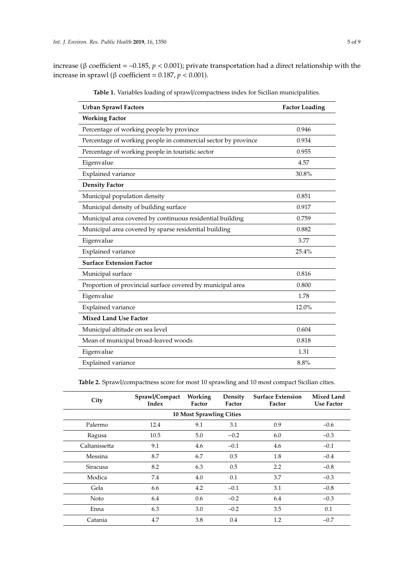<span id="page-4-0"></span>increase (β coefficient = –0.185, *p* < 0.001); private transportation had a direct relationship with the increase in sprawl (β coefficient = 0.187, *p* < 0.001).

| <b>Urban Sprawl Factors</b>                                   | <b>Factor Loading</b> |
|---------------------------------------------------------------|-----------------------|
| <b>Working Factor</b>                                         |                       |
| Percentage of working people by province                      | 0.946                 |
| Percentage of working people in commercial sector by province | 0.934                 |
| Percentage of working people in touristic sector              | 0.955                 |
| Eigenvalue                                                    | 4.57                  |
| Explained variance                                            | 30.8%                 |
| <b>Density Factor</b>                                         |                       |
| Municipal population density                                  | 0.851                 |
| Municipal density of building surface                         | 0.917                 |
| Municipal area covered by continuous residential building     | 0.759                 |
| Municipal area covered by sparse residential building         | 0.882                 |
| Eigenvalue                                                    | 3.77                  |
| Explained variance                                            | 25.4%                 |
| <b>Surface Extension Factor</b>                               |                       |
| Municipal surface                                             | 0.816                 |
| Proportion of provincial surface covered by municipal area    | 0.800                 |
| Eigenvalue                                                    | 1.78                  |
| Explained variance                                            | 12.0%                 |
| <b>Mixed Land Use Factor</b>                                  |                       |
| Municipal altitude on sea level                               | 0.604                 |
| Mean of municipal broad-leaved woods                          | 0.818                 |
| Eigenvalue                                                    | 1.31                  |
| Explained variance                                            | 8.8%                  |

**Table 1.** Variables loading of sprawl/compactness index for Sicilian municipalities.

**Table 2.** Sprawl/compactness score for most 10 sprawling and 10 most compact Sicilian cities.

| City                            | Sprawl/Compact<br>Index | Working<br>Factor | Density<br>Factor | <b>Surface Extension</b><br>Factor | <b>Mixed Land</b><br><b>Use Factor</b> |  |  |  |
|---------------------------------|-------------------------|-------------------|-------------------|------------------------------------|----------------------------------------|--|--|--|
| <b>10 Most Sprawling Cities</b> |                         |                   |                   |                                    |                                        |  |  |  |
| Palermo                         | 12.4                    | 9.1               | 3.1               | 0.9                                | $-0.6$                                 |  |  |  |
| Ragusa                          | 10.5                    | 5.0               | $-0.2$            | 6.0                                | $-0.3$                                 |  |  |  |
| Caltanissetta                   | 9.1                     | 4.6               | $-0.1$            | 4.6                                | $-0.1$                                 |  |  |  |
| Messina                         | 8.7                     | 6.7               | 0.5               | 1.8                                | $-0.4$                                 |  |  |  |
| <b>Siracusa</b>                 | 8.2                     | 6.3               | 0.5               | 2.2                                | $-0.8$                                 |  |  |  |
| Modica                          | 7.4                     | 4.0               | 0.1               | 3.7                                | $-0.3$                                 |  |  |  |
| Gela                            | 6.6                     | 4.2               | $-0.1$            | 3.1                                | $-0.8$                                 |  |  |  |
| Noto                            | 6.4                     | 0.6               | $-0.2$            | 6.4                                | $-0.3$                                 |  |  |  |
| Enna                            | 6.3                     | 3.0               | $-0.2$            | 3.5                                | 0.1                                    |  |  |  |
| Catania                         | 4.7                     | 3.8               | 0.4               | 1.2                                | $-0.7$                                 |  |  |  |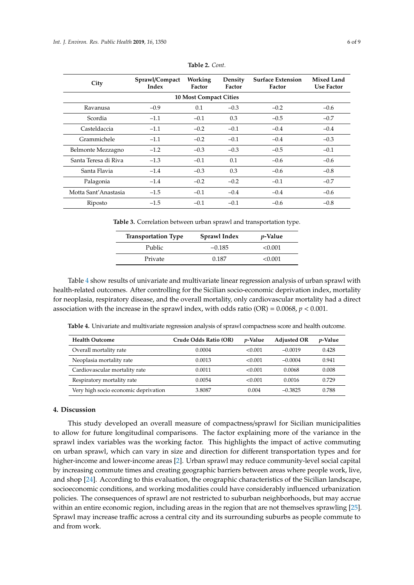<span id="page-5-0"></span>

| City                          | Sprawl/Compact<br>Index | Working<br>Factor | Density<br>Factor | <b>Surface Extension</b><br>Factor | <b>Mixed Land</b><br><b>Use Factor</b> |  |  |  |  |
|-------------------------------|-------------------------|-------------------|-------------------|------------------------------------|----------------------------------------|--|--|--|--|
| <b>10 Most Compact Cities</b> |                         |                   |                   |                                    |                                        |  |  |  |  |
| Ravanusa                      | $-0.9$                  | 0.1               | $-0.3$            | $-0.2$                             | $-0.6$                                 |  |  |  |  |
| Scordia                       | $-1.1$                  | $-0.1$            | 0.3               | $-0.5$                             | $-0.7$                                 |  |  |  |  |
| Casteldaccia                  | $-1.1$                  | $-0.2$            | $-0.1$            | $-0.4$                             | $-0.4$                                 |  |  |  |  |
| Grammichele                   | $-1.1$                  | $-0.2$            | $-0.1$            | $-0.4$                             | $-0.3$                                 |  |  |  |  |
| Belmonte Mezzagno             | $-1.2$                  | $-0.3$            | $-0.3$            | $-0.5$                             | $-0.1$                                 |  |  |  |  |
| Santa Teresa di Riva          | $-1.3$                  | $-0.1$            | 0.1               | $-0.6$                             | $-0.6$                                 |  |  |  |  |
| Santa Flavia                  | $-1.4$                  | $-0.3$            | 0.3               | $-0.6$                             | $-0.8$                                 |  |  |  |  |
| Palagonia                     | $-1.4$                  | $-0.2$            | $-0.2$            | $-0.1$                             | $-0.7$                                 |  |  |  |  |
| Motta Sant'Anastasia          | $-1.5$                  | $-0.1$            | $-0.4$            | $-0.4$                             | $-0.6$                                 |  |  |  |  |
| Riposto                       | $-1.5$                  | $-0.1$            | $-0.1$            | $-0.6$                             | $-0.8$                                 |  |  |  |  |

**Table 2.** *Cont.*

<span id="page-5-1"></span>**Table 3.** Correlation between urban sprawl and transportation type.

| <b>Transportation Type</b> | Sprawl Index | <i>p</i> -Value |
|----------------------------|--------------|-----------------|
| Public                     | $-0.185$     | < 0.001         |
| Private                    | 0.187        | <0.001          |

Table [4](#page-5-2) show results of univariate and multivariate linear regression analysis of urban sprawl with health-related outcomes. After controlling for the Sicilian socio-economic deprivation index, mortality for neoplasia, respiratory disease, and the overall mortality, only cardiovascular mortality had a direct association with the increase in the sprawl index, with odds ratio  $(OR) = 0.0068$ ,  $p < 0.001$ .

<span id="page-5-2"></span>

|  |  |  |  |  |  | <b>Table 4.</b> Univariate and multivariate regression analysis of sprawl compactness score and health outcome. |  |  |
|--|--|--|--|--|--|-----------------------------------------------------------------------------------------------------------------|--|--|
|--|--|--|--|--|--|-----------------------------------------------------------------------------------------------------------------|--|--|

| <b>Health Outcome</b>                | Crude Odds Ratio (OR) | <i>p</i> -Value | <b>Adjusted OR</b> | <i>p</i> -Value |
|--------------------------------------|-----------------------|-----------------|--------------------|-----------------|
| Overall mortality rate               | 0.0004                | < 0.001         | $-0.0019$          | 0.428           |
| Neoplasia mortality rate             | 0.0013                | < 0.001         | $-0.0004$          | 0.941           |
| Cardiovascular mortality rate        | 0.0011                | < 0.001         | 0.0068             | 0.008           |
| Respiratory mortality rate           | 0.0054                | < 0.001         | 0.0016             | 0.729           |
| Very high socio economic deprivation | 3.8087                | 0.004           | $-0.3825$          | 0.788           |

## **4. Discussion**

This study developed an overall measure of compactness/sprawl for Sicilian municipalities to allow for future longitudinal comparisons. The factor explaining more of the variance in the sprawl index variables was the working factor. This highlights the impact of active commuting on urban sprawl, which can vary in size and direction for different transportation types and for higher-income and lower-income areas [\[2\]](#page-7-1). Urban sprawl may reduce community-level social capital by increasing commute times and creating geographic barriers between areas where people work, live, and shop [\[24\]](#page-8-6). According to this evaluation, the orographic characteristics of the Sicilian landscape, socioeconomic conditions, and working modalities could have considerably influenced urbanization policies. The consequences of sprawl are not restricted to suburban neighborhoods, but may accrue within an entire economic region, including areas in the region that are not themselves sprawling [\[25\]](#page-8-7). Sprawl may increase traffic across a central city and its surrounding suburbs as people commute to and from work.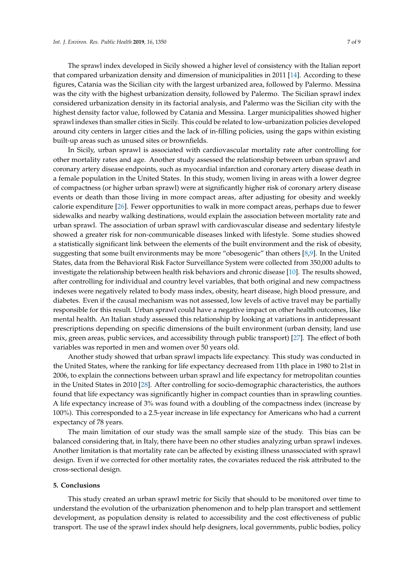The sprawl index developed in Sicily showed a higher level of consistency with the Italian report that compared urbanization density and dimension of municipalities in 2011 [\[14\]](#page-7-12). According to these figures, Catania was the Sicilian city with the largest urbanized area, followed by Palermo. Messina was the city with the highest urbanization density, followed by Palermo. The Sicilian sprawl index considered urbanization density in its factorial analysis, and Palermo was the Sicilian city with the highest density factor value, followed by Catania and Messina. Larger municipalities showed higher sprawl indexes than smaller cities in Sicily. This could be related to low-urbanization policies developed around city centers in larger cities and the lack of in-filling policies, using the gaps within existing built-up areas such as unused sites or brownfields.

In Sicily, urban sprawl is associated with cardiovascular mortality rate after controlling for other mortality rates and age. Another study assessed the relationship between urban sprawl and coronary artery disease endpoints, such as myocardial infarction and coronary artery disease death in a female population in the United States. In this study, women living in areas with a lower degree of compactness (or higher urban sprawl) were at significantly higher risk of coronary artery disease events or death than those living in more compact areas, after adjusting for obesity and weekly calorie expenditure [\[26\]](#page-8-8). Fewer opportunities to walk in more compact areas, perhaps due to fewer sidewalks and nearby walking destinations, would explain the association between mortality rate and urban sprawl. The association of urban sprawl with cardiovascular disease and sedentary lifestyle showed a greater risk for non-communicable diseases linked with lifestyle. Some studies showed a statistically significant link between the elements of the built environment and the risk of obesity, suggesting that some built environments may be more "obesogenic" than others [\[8](#page-7-7)[,9\]](#page-7-16). In the United States, data from the Behavioral Risk Factor Surveillance System were collected from 350,000 adults to investigate the relationship between health risk behaviors and chronic disease [\[10\]](#page-7-8). The results showed, after controlling for individual and country level variables, that both original and new compactness indexes were negatively related to body mass index, obesity, heart disease, high blood pressure, and diabetes. Even if the causal mechanism was not assessed, low levels of active travel may be partially responsible for this result. Urban sprawl could have a negative impact on other health outcomes, like mental health. An Italian study assessed this relationship by looking at variations in antidepressant prescriptions depending on specific dimensions of the built environment (urban density, land use mix, green areas, public services, and accessibility through public transport) [\[27\]](#page-8-9). The effect of both variables was reported in men and women over 50 years old.

Another study showed that urban sprawl impacts life expectancy. This study was conducted in the United States, where the ranking for life expectancy decreased from 11th place in 1980 to 21st in 2006, to explain the connections between urban sprawl and life expectancy for metropolitan counties in the United States in 2010 [\[28\]](#page-8-10). After controlling for socio-demographic characteristics, the authors found that life expectancy was significantly higher in compact counties than in sprawling counties. A life expectancy increase of 3% was found with a doubling of the compactness index (increase by 100%). This corresponded to a 2.5-year increase in life expectancy for Americans who had a current expectancy of 78 years.

The main limitation of our study was the small sample size of the study. This bias can be balanced considering that, in Italy, there have been no other studies analyzing urban sprawl indexes. Another limitation is that mortality rate can be affected by existing illness unassociated with sprawl design. Even if we corrected for other mortality rates, the covariates reduced the risk attributed to the cross-sectional design.

#### **5. Conclusions**

This study created an urban sprawl metric for Sicily that should to be monitored over time to understand the evolution of the urbanization phenomenon and to help plan transport and settlement development, as population density is related to accessibility and the cost effectiveness of public transport. The use of the sprawl index should help designers, local governments, public bodies, policy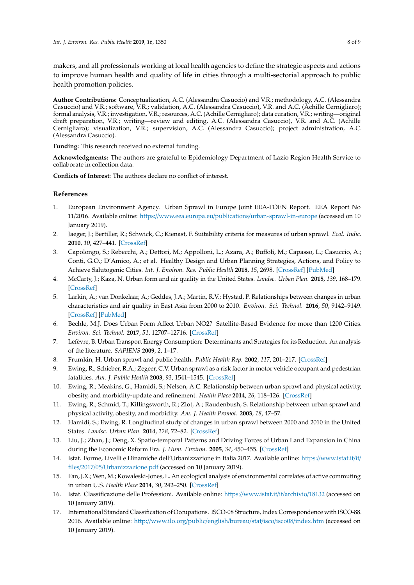makers, and all professionals working at local health agencies to define the strategic aspects and actions to improve human health and quality of life in cities through a multi-sectorial approach to public health promotion policies.

**Author Contributions:** Conceptualization, A.C. (Alessandra Casuccio) and V.R.; methodology, A.C. (Alessandra Casuccio) and V.R.; software, V.R.; validation, A.C. (Alessandra Casuccio), V.R. and A.C. (Achille Cernigliaro); formal analysis, V.R.; investigation, V.R.; resources, A.C. (Achille Cernigliaro); data curation, V.R.; writing—original draft preparation, V.R.; writing—review and editing, A.C. (Alessandra Casuccio), V.R. and A.C. (Achille Cernigliaro); visualization, V.R.; supervision, A.C. (Alessandra Casuccio); project administration, A.C. (Alessandra Casuccio).

**Funding:** This research received no external funding.

**Acknowledgments:** The authors are grateful to Epidemiology Department of Lazio Region Health Service to collaborate in collection data.

**Conflicts of Interest:** The authors declare no conflict of interest.

### **References**

- <span id="page-7-0"></span>1. European Environment Agency. Urban Sprawl in Europe Joint EEA-FOEN Report. EEA Report No 11/2016. Available online: https://www.eea.europa.eu/publications/[urban-sprawl-in-europe](https://www.eea.europa.eu/publications/urban-sprawl-in-europe) (accessed on 10 January 2019).
- <span id="page-7-1"></span>2. Jaeger, J.; Bertiller, R.; Schwick, C.; Kienast, F. Suitability criteria for measures of urban sprawl. *Ecol. Indic.* **2010**, *10*, 427–441. [\[CrossRef\]](http://dx.doi.org/10.1016/j.ecolind.2009.07.010)
- <span id="page-7-2"></span>3. Capolongo, S.; Rebecchi, A.; Dettori, M.; Appolloni, L.; Azara, A.; Buffoli, M.; Capasso, L.; Casuccio, A.; Conti, G.O.; D'Amico, A.; et al. Healthy Design and Urban Planning Strategies, Actions, and Policy to Achieve Salutogenic Cities. *Int. J. Environ. Res. Public Health* **2018**, *15*, 2698. [\[CrossRef\]](http://dx.doi.org/10.3390/ijerph15122698) [\[PubMed\]](http://www.ncbi.nlm.nih.gov/pubmed/30501119)
- <span id="page-7-3"></span>4. McCarty, J.; Kaza, N. Urban form and air quality in the United States. *Landsc. Urban Plan.* **2015**, *139*, 168–179. [\[CrossRef\]](http://dx.doi.org/10.1016/j.landurbplan.2015.03.008)
- <span id="page-7-4"></span>5. Larkin, A.; van Donkelaar, A.; Geddes, J.A.; Martin, R.V.; Hystad, P. Relationships between changes in urban characteristics and air quality in East Asia from 2000 to 2010. *Environ. Sci. Technol.* **2016**, *50*, 9142–9149. [\[CrossRef\]](http://dx.doi.org/10.1021/acs.est.6b02549) [\[PubMed\]](http://www.ncbi.nlm.nih.gov/pubmed/27442110)
- <span id="page-7-5"></span>6. Bechle, M.J. Does Urban Form Affect Urban NO2? Satellite-Based Evidence for more than 1200 Cities. *Environ. Sci. Technol.* **2017**, *51*, 12707–12716. [\[CrossRef\]](http://dx.doi.org/10.1021/acs.est.7b01194)
- <span id="page-7-6"></span>7. Lefèvre, B. Urban Transport Energy Consumption: Determinants and Strategies for its Reduction. An analysis of the literature. *SAPIENS* **2009**, *2*, 1–17.
- <span id="page-7-7"></span>8. Frumkin, H. Urban sprawl and public health. *Public Health Rep.* **2002**, *117*, 201–217. [\[CrossRef\]](http://dx.doi.org/10.1016/S0033-3549(04)50155-3)
- <span id="page-7-16"></span>9. Ewing, R.; Schieber, R.A.; Zegeer, C.V. Urban sprawl as a risk factor in motor vehicle occupant and pedestrian fatalities. *Am. J. Public Health* **2003**, *93*, 1541–1545. [\[CrossRef\]](http://dx.doi.org/10.2105/AJPH.93.9.1541)
- <span id="page-7-8"></span>10. Ewing, R.; Meakins, G.; Hamidi, S.; Nelson, A.C. Relationship between urban sprawl and physical activity, obesity, and morbidity-update and refinement. *Health Place* **2014**, *26*, 118–126. [\[CrossRef\]](http://dx.doi.org/10.1016/j.healthplace.2013.12.008)
- <span id="page-7-9"></span>11. Ewing, R.; Schmid, T.; Killingsworth, R.; Zlot, A.; Raudenbush, S. Relationship between urban sprawl and physical activity, obesity, and morbidity. *Am. J. Health Promot.* **2003**, *18*, 47–57.
- <span id="page-7-10"></span>12. Hamidi, S.; Ewing, R. Longitudinal study of changes in urban sprawl between 2000 and 2010 in the United States. *Landsc. Urban Plan.* **2014**, *128*, 72–82. [\[CrossRef\]](http://dx.doi.org/10.1016/j.landurbplan.2014.04.021)
- <span id="page-7-11"></span>13. Liu, J.; Zhan, J.; Deng, X. Spatio-temporal Patterns and Driving Forces of Urban Land Expansion in China during the Economic Reform Era. *J. Hum. Environ.* **2005**, *34*, 450–455. [\[CrossRef\]](http://dx.doi.org/10.1579/0044-7447-34.6.450)
- <span id="page-7-12"></span>14. Istat. Forme, Livelli e Dinamiche dell'Urbanizzazione in Italia 2017. Available online: https://[www.istat.it](https://www.istat.it/it/files/2017/05/Urbanizzazione.pdf)/it/ files/2017/05/[Urbanizzazione.pdf](https://www.istat.it/it/files/2017/05/Urbanizzazione.pdf) (accessed on 10 January 2019).
- <span id="page-7-13"></span>15. Fan, J.X.; Wen, M.; Kowaleski-Jones, L. An ecological analysis of environmental correlates of active commuting in urban U.S. *Health Place* **2014**, *30*, 242–250. [\[CrossRef\]](http://dx.doi.org/10.1016/j.healthplace.2014.09.014)
- <span id="page-7-14"></span>16. Istat. Classificazione delle Professioni. Available online: https://[www.istat.it](https://www.istat.it/it/archivio/18132)/it/archivio/18132 (accessed on 10 January 2019).
- <span id="page-7-15"></span>17. International Standard Classification of Occupations. ISCO-08 Structure, Index Correspondence with ISCO-88. 2016. Available online: http://[www.ilo.org](http://www.ilo.org/public/english/bureau/stat/isco/isco08/index.htm)/public/english/bureau/stat/isco/isco08/index.htm (accessed on 10 January 2019).